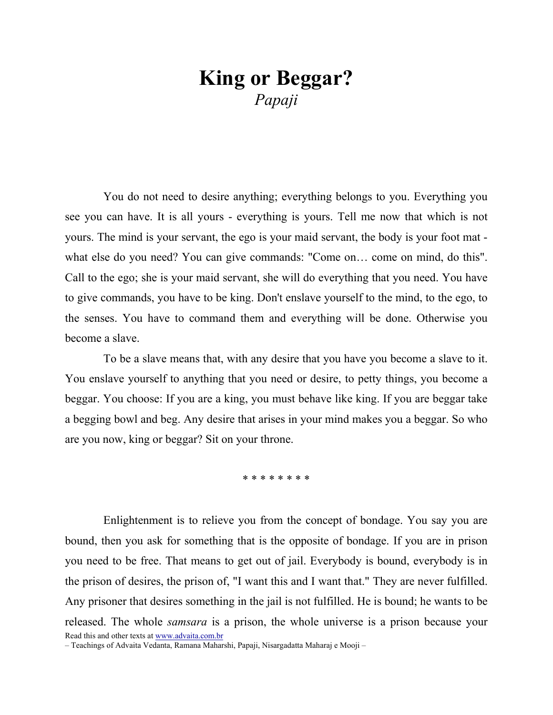## King or Beggar? Papaji

You do not need to desire anything; everything belongs to you. Everything you see you can have. It is all yours - everything is yours. Tell me now that which is not yours. The mind is your servant, the ego is your maid servant, the body is your foot mat what else do you need? You can give commands: "Come on… come on mind, do this". Call to the ego; she is your maid servant, she will do everything that you need. You have to give commands, you have to be king. Don't enslave yourself to the mind, to the ego, to the senses. You have to command them and everything will be done. Otherwise you become a slave.

To be a slave means that, with any desire that you have you become a slave to it. You enslave yourself to anything that you need or desire, to petty things, you become a beggar. You choose: If you are a king, you must behave like king. If you are beggar take a begging bowl and beg. Any desire that arises in your mind makes you a beggar. So who are you now, king or beggar? Sit on your throne.

\* \* \* \* \* \* \* \*

Read this and other texts at www.advaita.com.br Enlightenment is to relieve you from the concept of bondage. You say you are bound, then you ask for something that is the opposite of bondage. If you are in prison you need to be free. That means to get out of jail. Everybody is bound, everybody is in the prison of desires, the prison of, "I want this and I want that." They are never fulfilled. Any prisoner that desires something in the jail is not fulfilled. He is bound; he wants to be released. The whole samsara is a prison, the whole universe is a prison because your

– Teachings of Advaita Vedanta, Ramana Maharshi, Papaji, Nisargadatta Maharaj e Mooji –